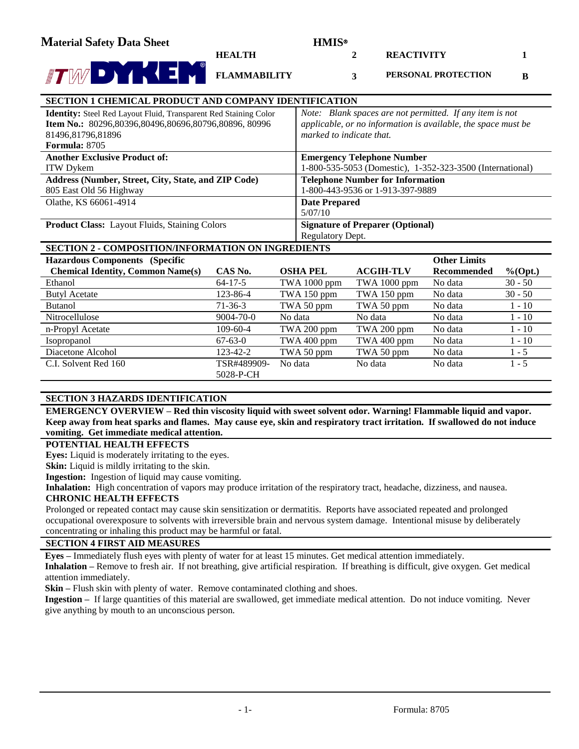**REACTIVITY**

No data No data No data 1 - 5

**1**

**B**



**FLAMMABILITY**

**HEALTH**

# **2 3**

**PERSONAL PROTECTION**

#### **SECTION 1 CHEMICAL PRODUCT AND COMPANY IDENTIFICATION Identity:** Steel Red Layout Fluid, Transparent Red Staining Color **Item No.:** 80296,80396,80496,80696,80796,80896, 80996 81496,81796,81896 **Formula:** 8705 *Note: Blank spaces are not permitted. If any item is not applicable, or no information is available, the space must be marked to indicate that.* **Another Exclusive Product of:** ITW Dykem **Emergency Telephone Number** 1-800-535-5053 (Domestic), 1-352-323-3500 (International) **Address (Number, Street, City, State, and ZIP Code)** 805 East Old 56 Highway **Telephone Number for Information** 1-800-443-9536 or 1-913-397-9889 Olathe, KS 66061-4914 **Date Prepared** 5/07/10 **Product Class:** Layout Fluids, Staining Colors **Signature of Preparer (Optional)** Regulatory Dept. **SECTION 2 - COMPOSITION/INFORMATION ON INGREDIENTS Hazardous Components (Specific Other Limits Chemical Identity, Common Name(s) CAS No. OSHA PEL ACGIH-TLV Recommended %(Opt.)** Ethanol 64-17-5 TWA 1000 ppm TWA 1000 ppm No data 30 - 50 Butyl Acetate 123-86-4 TWA 150 ppm TWA 150 ppm No data 30 - 50 Butanol **71-36-3** TWA 50 ppm TWA 50 ppm No data 1 - 10 Nitrocellulose 9004-70-0 No data No data No data 1 - 10 n-Propyl Acetate 109-60-4 TWA 200 ppm TWA 200 ppm No data 1 - 10 Isopropanol 67-63-0 TWA 400 ppm TWA 400 ppm No data  $1 - 10$

## **SECTION 3 HAZARDS IDENTIFICATION**

C.I. Solvent Red 160 TSR#489909-

**EMERGENCY OVERVIEW – Red thin viscosity liquid with sweet solvent odor. Warning! Flammable liquid and vapor. Keep away from heat sparks and flames. May cause eye, skin and respiratory tract irritation. If swallowed do not induce vomiting. Get immediate medical attention.**

Diacetone Alcohol 123-42-2 TWA 50 ppm TWA 50 ppm No data 1 - 5

5028-P-CH

### **POTENTIAL HEALTH EFFECTS**

**Eves:** Liquid is moderately irritating to the eyes.

**Skin:** Liquid is mildly irritating to the skin.

**Ingestion:** Ingestion of liquid may cause vomiting.

**Inhalation:** High concentration of vapors may produce irritation of the respiratory tract, headache, dizziness, and nausea.

## **CHRONIC HEALTH EFFECTS**

Prolonged or repeated contact may cause skin sensitization or dermatitis. Reports have associated repeated and prolonged occupational overexposure to solvents with irreversible brain and nervous system damage. Intentional misuse by deliberately concentrating or inhaling this product may be harmful or fatal.

## **SECTION 4 FIRST AID MEASURES**

**Eyes –** Immediately flush eyes with plenty of water for at least 15 minutes. Get medical attention immediately. **Inhalation –** Remove to fresh air. If not breathing, give artificial respiration. If breathing is difficult, give oxygen. Get medical

attention immediately.

**Skin –** Flush skin with plenty of water. Remove contaminated clothing and shoes.

**Ingestion –** If large quantities of this material are swallowed, get immediate medical attention. Do not induce vomiting. Never give anything by mouth to an unconscious person.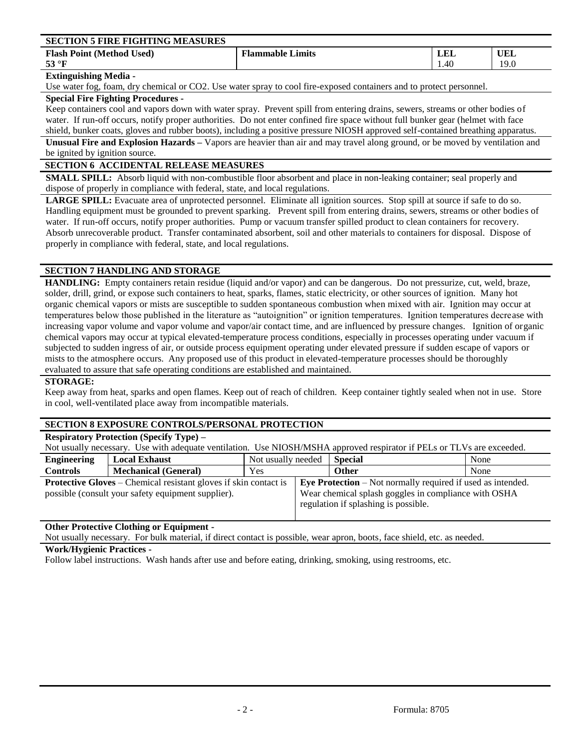| <b>SECTION 5 FIRE FIGHTING MEASURES</b> |                         |      |      |
|-----------------------------------------|-------------------------|------|------|
| <b>Flash Point (Method Used)</b>        | <b>Flammable Limits</b> | LEL  | UEL  |
| 53 $\mathrm{^{\circ}F}$                 |                         | 1.40 | 19.0 |

#### **Extinguishing Media -**

Use water fog, foam, dry chemical or CO2. Use water spray to cool fire-exposed containers and to protect personnel.

#### **Special Fire Fighting Procedures -**

Keep containers cool and vapors down with water spray. Prevent spill from entering drains, sewers, streams or other bodies of water. If run-off occurs, notify proper authorities. Do not enter confined fire space without full bunker gear (helmet with face shield, bunker coats, gloves and rubber boots), including a positive pressure NIOSH approved self-contained breathing apparatus.

**Unusual Fire and Explosion Hazards –** Vapors are heavier than air and may travel along ground, or be moved by ventilation and be ignited by ignition source.

### **SECTION 6 ACCIDENTAL RELEASE MEASURES**

**SMALL SPILL:** Absorb liquid with non-combustible floor absorbent and place in non-leaking container; seal properly and dispose of properly in compliance with federal, state, and local regulations.

LARGE SPILL: Evacuate area of unprotected personnel. Eliminate all ignition sources. Stop spill at source if safe to do so. Handling equipment must be grounded to prevent sparking. Prevent spill from entering drains, sewers, streams or other bodies of water. If run-off occurs, notify proper authorities. Pump or vacuum transfer spilled product to clean containers for recovery. Absorb unrecoverable product. Transfer contaminated absorbent, soil and other materials to containers for disposal. Dispose of properly in compliance with federal, state, and local regulations.

#### **SECTION 7 HANDLING AND STORAGE**

**HANDLING:** Empty containers retain residue (liquid and/or vapor) and can be dangerous. Do not pressurize, cut, weld, braze, solder, drill, grind, or expose such containers to heat, sparks, flames, static electricity, or other sources of ignition. Many hot organic chemical vapors or mists are susceptible to sudden spontaneous combustion when mixed with air. Ignition may occur at temperatures below those published in the literature as "autoignition" or ignition temperatures. Ignition temperatures decrease with increasing vapor volume and vapor volume and vapor/air contact time, and are influenced by pressure changes. Ignition of organic chemical vapors may occur at typical elevated-temperature process conditions, especially in processes operating under vacuum if subjected to sudden ingress of air, or outside process equipment operating under elevated pressure if sudden escape of vapors or mists to the atmosphere occurs. Any proposed use of this product in elevated-temperature processes should be thoroughly evaluated to assure that safe operating conditions are established and maintained.

#### **STORAGE:**

Keep away from heat, sparks and open flames. Keep out of reach of children. Keep container tightly sealed when not in use. Store in cool, well-ventilated place away from incompatible materials.

#### **SECTION 8 EXPOSURE CONTROLS/PERSONAL PROTECTION**

#### **Respiratory Protection (Specify Type) –**

Not usually necessary. Use with adequate ventilation. Use NIOSH/MSHA approved respirator if PELs or TLVs are exceeded.

| <b>Engineering</b>                                                      | <b>Local Exhaust</b>        | Not usually needed |                                                                                              | <b>Special</b> |  | None |
|-------------------------------------------------------------------------|-----------------------------|--------------------|----------------------------------------------------------------------------------------------|----------------|--|------|
| <b>Controls</b>                                                         | <b>Mechanical (General)</b> | <b>Yes</b>         |                                                                                              | <b>Other</b>   |  | None |
| <b>Protective Gloves</b> – Chemical resistant gloves if skin contact is |                             |                    | <b>Eye Protection</b> – Not normally required if used as intended.                           |                |  |      |
| possible (consult your safety equipment supplier).                      |                             |                    | Wear chemical splash goggles in compliance with OSHA<br>regulation if splashing is possible. |                |  |      |
|                                                                         |                             |                    |                                                                                              |                |  |      |

#### **Other Protective Clothing or Equipment -**

Not usually necessary. For bulk material, if direct contact is possible, wear apron, boots, face shield, etc. as needed.

#### **Work/Hygienic Practices -**

Follow label instructions. Wash hands after use and before eating, drinking, smoking, using restrooms, etc.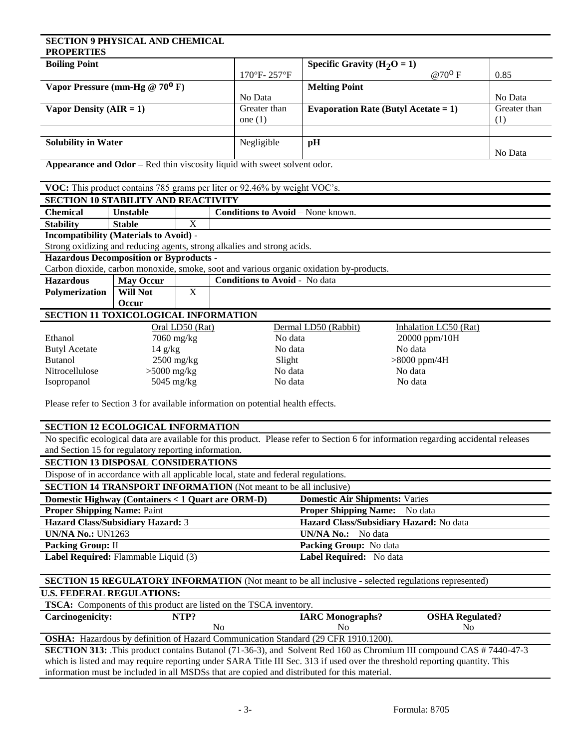| <b>SECTION 9 PHYSICAL AND CHEMICAL</b><br><b>PROPERTIES</b>                      |                   |                 |                                                                                         |                                               |              |  |
|----------------------------------------------------------------------------------|-------------------|-----------------|-----------------------------------------------------------------------------------------|-----------------------------------------------|--------------|--|
| <b>Boiling Point</b>                                                             |                   |                 | Specific Gravity $(H2O = 1)$                                                            |                                               |              |  |
|                                                                                  |                   | 170°F-257°F     | $@70^{\mathrm{O}}$ F                                                                    | 0.85                                          |              |  |
| Vapor Pressure (mm-Hg $@ 70^0 F$ )                                               |                   |                 | <b>Melting Point</b>                                                                    |                                               |              |  |
|                                                                                  |                   |                 | No Data                                                                                 |                                               | No Data      |  |
| Vapor Density $(AIR = 1)$                                                        |                   |                 | Greater than                                                                            | Evaporation Rate (Butyl Acetate = $1$ )       | Greater than |  |
|                                                                                  |                   |                 | one $(1)$                                                                               |                                               | (1)          |  |
|                                                                                  |                   |                 |                                                                                         |                                               |              |  |
| <b>Solubility in Water</b>                                                       |                   | Negligible      | pH                                                                                      |                                               |              |  |
|                                                                                  |                   |                 |                                                                                         |                                               | No Data      |  |
| Appearance and Odor – Red thin viscosity liquid with sweet solvent odor.         |                   |                 |                                                                                         |                                               |              |  |
|                                                                                  |                   |                 | VOC: This product contains 785 grams per liter or 92.46% by weight VOC's.               |                                               |              |  |
| <b>SECTION 10 STABILITY AND REACTIVITY</b>                                       |                   |                 |                                                                                         |                                               |              |  |
| <b>Chemical</b>                                                                  | <b>Unstable</b>   |                 | <b>Conditions to Avoid - None known.</b>                                                |                                               |              |  |
| <b>Stability</b>                                                                 | <b>Stable</b>     | X               |                                                                                         |                                               |              |  |
| <b>Incompatibility (Materials to Avoid) -</b>                                    |                   |                 |                                                                                         |                                               |              |  |
|                                                                                  |                   |                 | Strong oxidizing and reducing agents, strong alkalies and strong acids.                 |                                               |              |  |
| <b>Hazardous Decomposition or Byproducts -</b>                                   |                   |                 |                                                                                         |                                               |              |  |
|                                                                                  |                   |                 | Carbon dioxide, carbon monoxide, smoke, soot and various organic oxidation by-products. |                                               |              |  |
| <b>Hazardous</b>                                                                 | <b>May Occur</b>  |                 | <b>Conditions to Avoid - No data</b>                                                    |                                               |              |  |
| Polymerization                                                                   | <b>Will Not</b>   | X               |                                                                                         |                                               |              |  |
|                                                                                  | Occur             |                 |                                                                                         |                                               |              |  |
| <b>SECTION 11 TOXICOLOGICAL INFORMATION</b>                                      |                   |                 |                                                                                         |                                               |              |  |
|                                                                                  |                   | Oral LD50 (Rat) |                                                                                         | Dermal LD50 (Rabbit)<br>Inhalation LC50 (Rat) |              |  |
| Ethanol                                                                          | 7060 mg/kg        |                 | No data                                                                                 | 20000 ppm/10H                                 |              |  |
| <b>Butyl Acetate</b>                                                             | $14 \text{ g/kg}$ |                 | No data                                                                                 | No data                                       |              |  |
| <b>Butanol</b>                                                                   | $2500$ mg/kg      |                 | Slight                                                                                  | $>8000$ ppm/4H                                |              |  |
| Nitrocellulose                                                                   | $>5000$ mg/kg     |                 | No data                                                                                 | No data                                       |              |  |
| Isopropanol                                                                      | 5045 mg/kg        |                 | No data                                                                                 | No data                                       |              |  |
| Please refer to Section 3 for available information on potential health effects. |                   |                 |                                                                                         |                                               |              |  |

#### **SECTION 12 ECOLOGICAL INFORMATION**

No specific ecological data are available for this product. Please refer to Section 6 for information regarding accidental releases and Section 15 for regulatory reporting information.

| <b>SECTION 13 DISPOSAL CONSIDERATIONS</b>                                          |                                         |  |  |  |
|------------------------------------------------------------------------------------|-----------------------------------------|--|--|--|
| Dispose of in accordance with all applicable local, state and federal regulations. |                                         |  |  |  |
| <b>SECTION 14 TRANSPORT INFORMATION</b> (Not meant to be all inclusive)            |                                         |  |  |  |
| Domestic Highway (Containers < 1 Quart are ORM-D)                                  | <b>Domestic Air Shipments: Varies</b>   |  |  |  |
| <b>Proper Shipping Name: Paint</b>                                                 | <b>Proper Shipping Name:</b> No data    |  |  |  |
| Hazard Class/Subsidiary Hazard: 3                                                  | Hazard Class/Subsidiary Hazard: No data |  |  |  |
| <b>UN/NA No.: UN1263</b>                                                           | <b>UN/NA No.:</b> No data               |  |  |  |
| <b>Packing Group: II</b>                                                           | Packing Group: No data                  |  |  |  |
| Label Required: Flammable Liquid (3)                                               | Label Required: No data                 |  |  |  |
|                                                                                    |                                         |  |  |  |

# **SECTION 15 REGULATORY INFORMATION** (Not meant to be all inclusive - selected regulations represented)

## **U.S. FEDERAL REGULATIONS:**

| <b>TSCA:</b> Components of this product are listed on the TSCA inventory.                 |      |                         |                        |  |
|-------------------------------------------------------------------------------------------|------|-------------------------|------------------------|--|
| <b>Carcinogenicity:</b>                                                                   | NTP? | <b>IARC Monographs?</b> | <b>OSHA Regulated?</b> |  |
|                                                                                           | No   | Nο                      | Nc                     |  |
| <b>OSHA:</b> Hazardous by definition of Hazard Communication Standard (29 CFR 1910.1200). |      |                         |                        |  |

**SECTION 313:** This product contains Butanol (71-36-3), and Solvent Red 160 as Chromium III compound CAS # 7440-47-3 which is listed and may require reporting under SARA Title III Sec. 313 if used over the threshold reporting quantity. This information must be included in all MSDSs that are copied and distributed for this material.